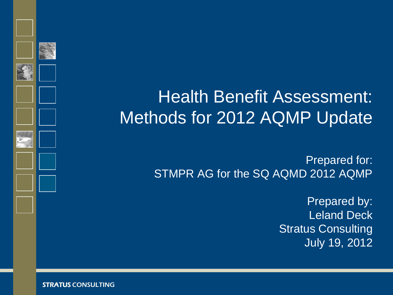# Health Benefit Assessment: Methods for 2012 AQMP Update

Prepared for: STMPR AG for the SQ AQMD 2012 AQMP

> Prepared by: Leland Deck Stratus Consulting July 19, 2012

STRATUS CONSULTING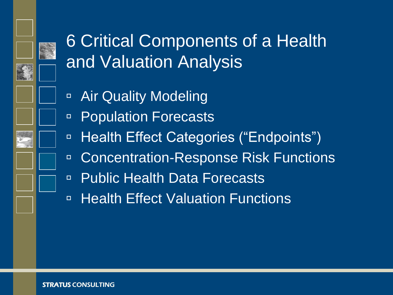

# 6 Critical Components of a Health and Valuation Analysis

- **E** Air Quality Modeling
- Population Forecasts
- □ Health Effect Categories ("Endpoints")
- □ Concentration-Response Risk Functions
- □ Public Health Data Forecasts
- **E** Health Effect Valuation Functions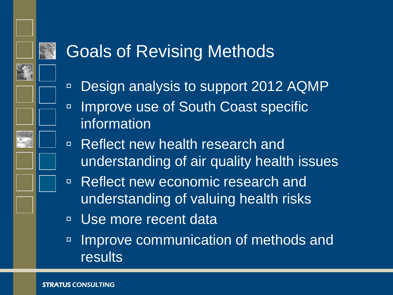# Goals of Revising Methods

- Design analysis to support 2012 AQMP
- Improve use of South Coast specific information
- Reflect new health research and understanding of air quality health issues
- Reflect new economic research and understanding of valuing health risks
- Use more recent data
- Improve communication of methods and results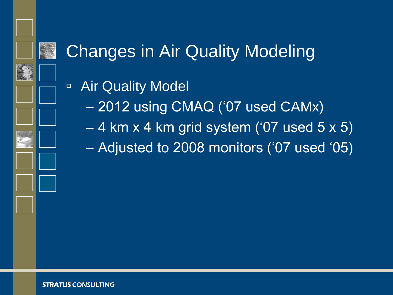

## Changes in Air Quality Modeling

- Air Quality Model
	- 2012 using CMAQ ("07 used CAMx)
	- 4 km x 4 km grid system ("07 used 5 x 5)
	- Adjusted to 2008 monitors ("07 used "05)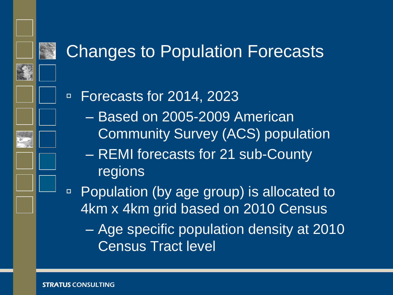

#### Changes to Population Forecasts

Forecasts for 2014, 2023

- Based on 2005-2009 American Community Survey (ACS) population
- REMI forecasts for 21 sub-County regions

□ Population (by age group) is allocated to 4km x 4km grid based on 2010 Census

– Age specific population density at 2010 Census Tract level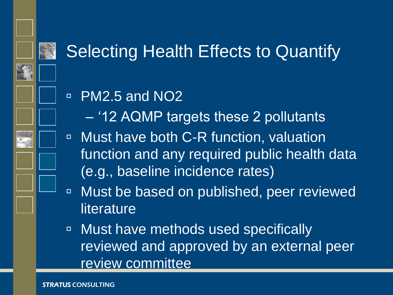# Selecting Health Effects to Quantify

#### **PM2.5 and NO2**

- "12 AQMP targets these 2 pollutants
- □ Must have both C-R function, valuation function and any required public health data (e.g., baseline incidence rates)
- Must be based on published, peer reviewed literature
- Must have methods used specifically reviewed and approved by an external peer review committee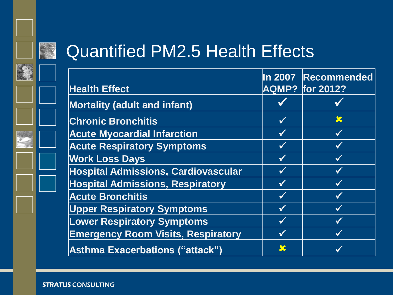

#### Quantified PM2.5 Health Effects

| <b>Health Effect</b>                       |              | In 2007 Recommended<br><b>AQMP? for 2012?</b> |
|--------------------------------------------|--------------|-----------------------------------------------|
| <b>Mortality (adult and infant)</b>        |              |                                               |
| <b>Chronic Bronchitis</b>                  | $\checkmark$ | $\boldsymbol{\mathcal{K}}$                    |
| <b>Acute Myocardial Infarction</b>         | $\checkmark$ |                                               |
| <b>Acute Respiratory Symptoms</b>          | $\checkmark$ |                                               |
| <b>Work Loss Days</b>                      |              |                                               |
| <b>Hospital Admissions, Cardiovascular</b> | $\checkmark$ |                                               |
| <b>Hospital Admissions, Respiratory</b>    |              |                                               |
| <b>Acute Bronchitis</b>                    | $\checkmark$ |                                               |
| <b>Upper Respiratory Symptoms</b>          | $\checkmark$ |                                               |
| <b>Lower Respiratory Symptoms</b>          | $\checkmark$ |                                               |
| <b>Emergency Room Visits, Respiratory</b>  |              |                                               |
| Asthma Exacerbations ("attack")            | SC           |                                               |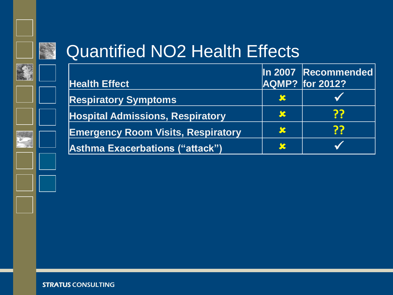

#### Quantified NO2 Health Effects

|                                           |               | In 2007 Recommended |
|-------------------------------------------|---------------|---------------------|
| <b>Health Effect</b>                      |               | AQMP? for 2012?     |
| <b>Respiratory Symptoms</b>               | $\mathcal{X}$ |                     |
| <b>Hospital Admissions, Respiratory</b>   | <b>SC</b>     | ??                  |
| <b>Emergency Room Visits, Respiratory</b> | S             | ??                  |
| <b>Asthma Exacerbations ("attack")</b>    | S             |                     |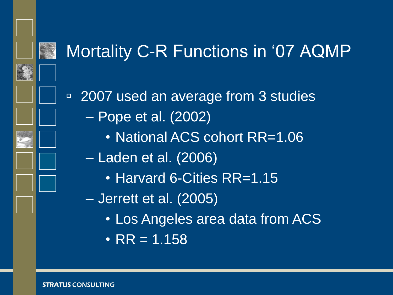

#### Mortality C-R Functions in "07 AQMP

■ 2007 used an average from 3 studies – Pope et al. (2002)

• National ACS cohort RR=1.06

– Laden et al. (2006)

• Harvard 6-Cities RR=1.15

– Jerrett et al. (2005)

- Los Angeles area data from ACS
- $RR = 1.158$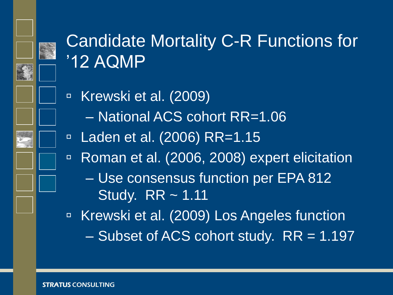

# Candidate Mortality C-R Functions for "12 AQMP

- Krewski et al. (2009) – National ACS cohort RR=1.06
- □ Laden et al. (2006) RR=1.15
- Roman et al. (2006, 2008) expert elicitation
	- Use consensus function per EPA 812 Study. RR ~ 1.11

□ Krewski et al. (2009) Los Angeles function  $-$  Subset of ACS cohort study.  $RR = 1.197$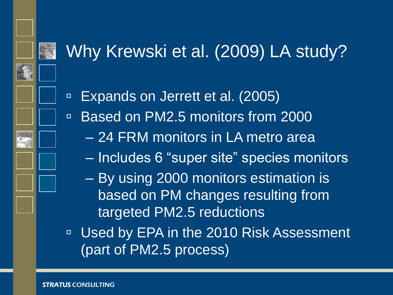# Why Krewski et al. (2009) LA study?

Expands on Jerrett et al. (2005)

- □ Based on PM2.5 monitors from 2000
	- 24 FRM monitors in LA metro area
	- Includes 6 "super site" species monitors
	- By using 2000 monitors estimation is based on PM changes resulting from targeted PM2.5 reductions
- □ Used by EPA in the 2010 Risk Assessment (part of PM2.5 process)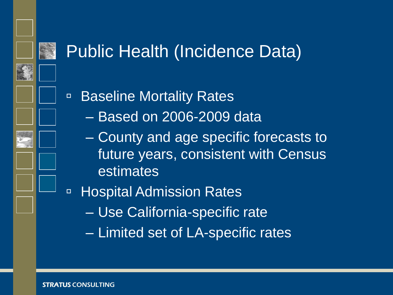#### Public Health (Incidence Data)

■ Baseline Mortality Rates

- Based on 2006-2009 data
- County and age specific forecasts to future years, consistent with Census estimates
- Hospital Admission Rates
	- Use California-specific rate
	- Limited set of LA-specific rates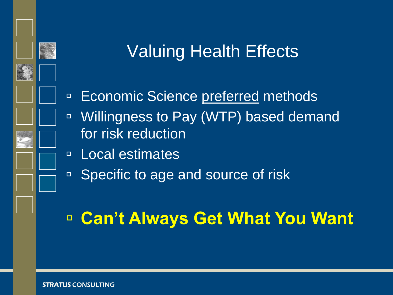# Valuing Health Effects

- **Economic Science preferred methods**
- Willingness to Pay (WTP) based demand for risk reduction
- Local estimates
- Specific to age and source of risk

### **Can't Always Get What You Want**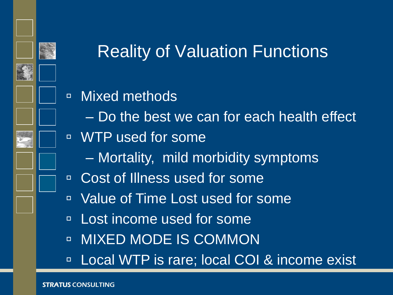

## Reality of Valuation Functions

- **E** Mixed methods
	- Do the best we can for each health effect
- WTP used for some
	- Mortality, mild morbidity symptoms
- Cost of Illness used for some
- Value of Time Lost used for some
- **Lost income used for some**
- **E** MIXED MODE IS COMMON
- □ Local WTP is rare; local COI & income exist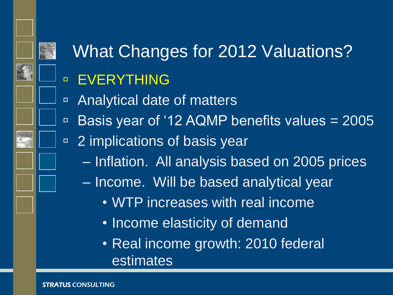# What Changes for 2012 Valuations?

#### **EVERYTHING**

- Analytical date of matters
- $\overline{P}$  Basis year of '12 AQMP benefits values = 2005
- □ 2 implications of basis year
	- Inflation. All analysis based on 2005 prices
	- Income. Will be based analytical year
		- WTP increases with real income
		- Income elasticity of demand
		- Real income growth: 2010 federal estimates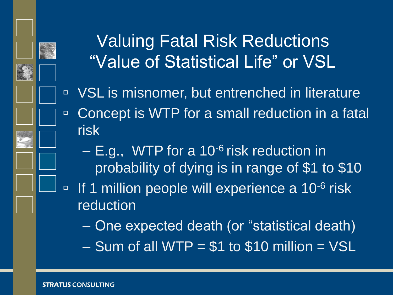

## Valuing Fatal Risk Reductions "Value of Statistical Life" or VSL

- □ VSL is misnomer, but entrenched in literature □ Concept is WTP for a small reduction in a fatal
	- $-$  E.g., WTP for a 10<sup>-6</sup> risk reduction in probability of dying is in range of \$1 to \$10
- <sup>n</sup> If 1 million people will experience a 10<sup>-6</sup> risk reduction
	- One expected death (or "statistical death)
	- $-$  Sum of all WTP = \$1 to \$10 million = VSL

risk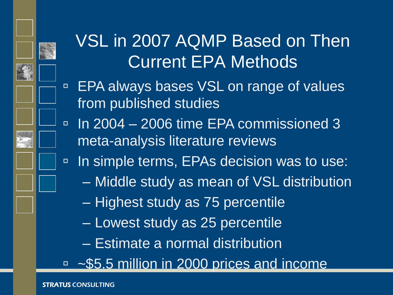

# VSL in 2007 AQMP Based on Then Current EPA Methods

- □ EPA always bases VSL on range of values from published studies
- $\overline{1}$  In 2004 2006 time EPA commissioned 3 meta-analysis literature reviews
- □ In simple terms, EPAs decision was to use:
	- Middle study as mean of VSL distribution
	- Highest study as 75 percentile
	- Lowest study as 25 percentile
	- Estimate a normal distribution
- □ ~\$5.5 million in 2000 prices and income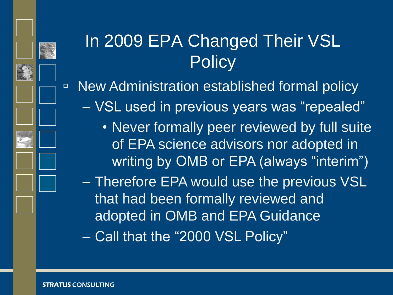



- VSL used in previous years was "repealed"
	- Never formally peer reviewed by full suite of EPA science advisors nor adopted in writing by OMB or EPA (always "interim")
- Therefore EPA would use the previous VSL that had been formally reviewed and adopted in OMB and EPA Guidance – Call that the "2000 VSL Policy"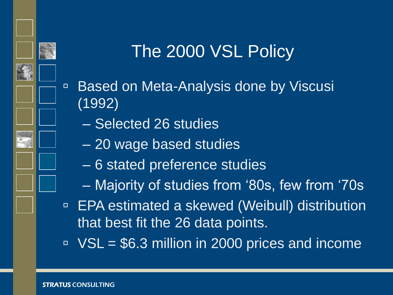

#### The 2000 VSL Policy

- Based on Meta-Analysis done by Viscusi (1992)
	- Selected 26 studies
	- 20 wage based studies
	- 6 stated preference studies
	- Majority of studies from "80s, few from "70s
- □ EPA estimated a skewed (Weibull) distribution that best fit the 26 data points.
- $\textdegree$  VSL = \$6.3 million in 2000 prices and income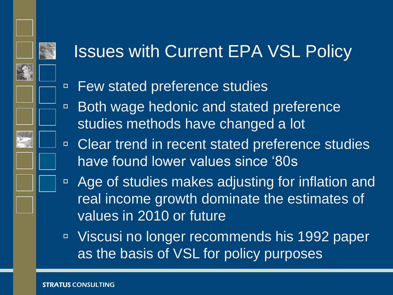### Issues with Current EPA VSL Policy

- □ Few stated preference studies
- Both wage hedonic and stated preference studies methods have changed a lot
- □ Clear trend in recent stated preference studies have found lower values since "80s
- □ Age of studies makes adjusting for inflation and real income growth dominate the estimates of values in 2010 or future
- Viscusi no longer recommends his 1992 paper as the basis of VSL for policy purposes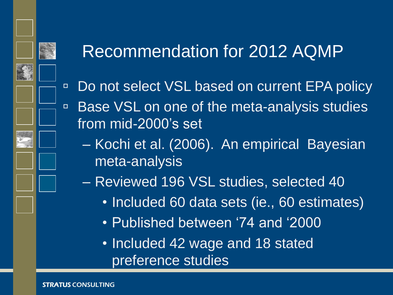### Recommendation for 2012 AQMP

- □ Do not select VSL based on current EPA policy
- Base VSL on one of the meta-analysis studies from mid-2000"s set
	- Kochi et al. (2006). An empirical Bayesian meta-analysis
	- Reviewed 196 VSL studies, selected 40
		- Included 60 data sets (ie., 60 estimates)
		- Published between "74 and "2000
		- Included 42 wage and 18 stated preference studies